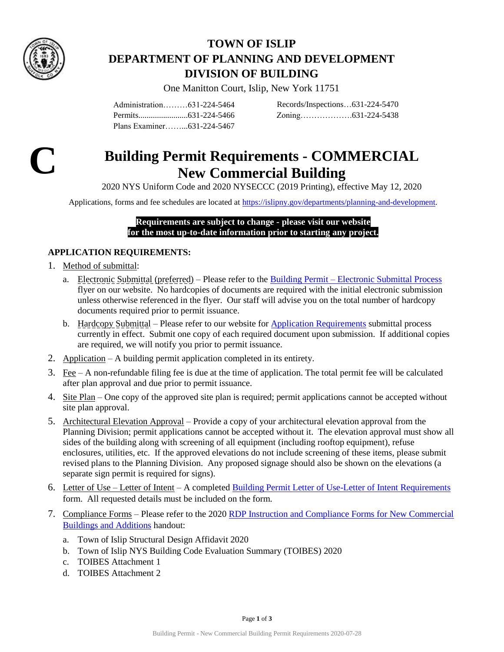

# **TOWN OF ISLIP DEPARTMENT OF PLANNING AND DEVELOPMENT DIVISION OF BUILDING**

One Manitton Court, Islip, New York 11751

Administration………631-224-5464 Permits........................631-224-5466 Plans Examiner……...631-224-5467

Records/Inspections…631-224-5470 Zoning……………….631-224-5438



# **Building Permit Requirements - COMMERCIAL New Commercial Building**

2020 NYS Uniform Code and 2020 NYSECCC (2019 Printing), effective May 12, 2020

Applications, forms and fee schedules are located at [https://islipny.gov/departments/planning-and-development.](https://islipny.gov/departments/planning-and-development)

#### **Requirements are subject to change - please visit our website for the most up-to-date information prior to starting any project.**

# **APPLICATION REQUIREMENTS:**

- 1. Method of submittal:
	- a. Electronic Submittal (preferred) Please refer to the Building Permit [Electronic Submittal Process](https://islipny.gov/building-division-permits-list/986-document-upload-instructions-for-electronic-submissions-building/file) flyer on our website. No hardcopies of documents are required with the initial electronic submission unless otherwise referenced in the flyer. Our staff will advise you on the total number of hardcopy documents required prior to permit issuance.
	- b. Hardcopy Submittal Please refer to our website for [Application Requirements](https://islipny.gov/community-and-services/documents/planning-development/980-planning-development-temporary-application-process-requirements-during-covid-19-pandemic/file) submittal process currently in effect. Submit one copy of each required document upon submission. If additional copies are required, we will notify you prior to permit issuance.
- 2. Application A building permit application completed in its entirety.
- 3. Fee A non-refundable filing fee is due at the time of application. The total permit fee will be calculated after plan approval and due prior to permit issuance.
- 4. Site Plan One copy of the approved site plan is required; permit applications cannot be accepted without site plan approval.
- 5. Architectural Elevation Approval Provide a copy of your architectural elevation approval from the Planning Division; permit applications cannot be accepted without it. The elevation approval must show all sides of the building along with screening of all equipment (including rooftop equipment), refuse enclosures, utilities, etc. If the approved elevations do not include screening of these items, please submit revised plans to the Planning Division. Any proposed signage should also be shown on the elevations (a separate sign permit is required for signs).
- 6. Letter of Use Letter of Intent A completed [Building Permit Letter of Use-Letter of Intent Requirements](https://islipny.gov/building-division-permits-list/847-letter-of-use-letter-of-intent-requirements/file) form. All requested details must be included on the form.
- 7. Compliance Forms Please refer to the 2020 [RDP Instruction and Compliance Forms for New Commercial](https://islipny.gov/building-division-permits-list/322-new-york-state-building-code-evaluation-summary/file)  [Buildings and Additions](https://islipny.gov/building-division-permits-list/322-new-york-state-building-code-evaluation-summary/file) handout:
	- a. Town of Islip Structural Design Affidavit 2020
	- b. Town of Islip NYS Building Code Evaluation Summary (TOIBES) 2020
	- c. TOIBES Attachment 1
	- d. TOIBES Attachment 2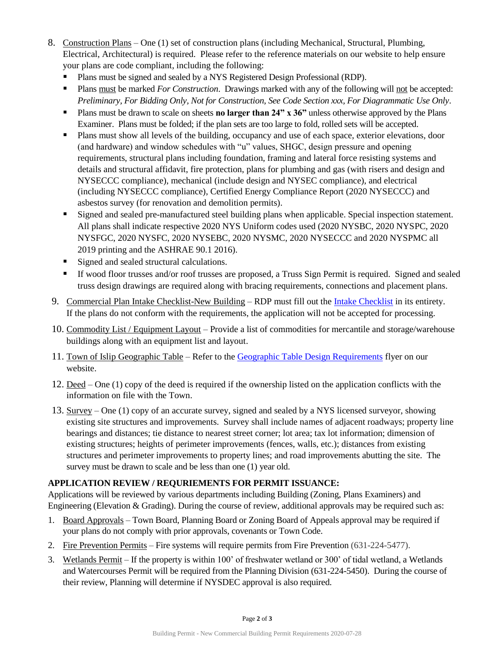- 8. Construction Plans One (1) set of construction plans (including Mechanical, Structural, Plumbing, Electrical, Architectural) is required. Please refer to the reference materials on our website to help ensure your plans are code compliant, including the following:
	- Plans must be signed and sealed by a NYS Registered Design Professional (RDP).
	- Plans must be marked *For Construction*. Drawings marked with any of the following will not be accepted: *Preliminary, For Bidding Only, Not for Construction*, *See Code Section xxx, For Diagrammatic Use Only*.
	- **Plans must be drawn to scale on sheets <b>no larger than 24"** x 36" unless otherwise approved by the Plans Examiner. Plans must be folded; if the plan sets are too large to fold, rolled sets will be accepted.
	- Plans must show all levels of the building, occupancy and use of each space, exterior elevations, door (and hardware) and window schedules with "u" values, SHGC, design pressure and opening requirements, structural plans including foundation, framing and lateral force resisting systems and details and structural affidavit, fire protection, plans for plumbing and gas (with risers and design and NYSECCC compliance), mechanical (include design and NYSEC compliance), and electrical (including NYSECCC compliance), Certified Energy Compliance Report (2020 NYSECCC) and asbestos survey (for renovation and demolition permits).
	- Signed and sealed pre-manufactured steel building plans when applicable. Special inspection statement. All plans shall indicate respective 2020 NYS Uniform codes used (2020 NYSBC, 2020 NYSPC, 2020 NYSFGC, 2020 NYSFC, 2020 NYSEBC, 2020 NYSMC, 2020 NYSECCC and 2020 NYSPMC all 2019 printing and the ASHRAE 90.1 2016).
	- Signed and sealed structural calculations.
	- If wood floor trusses and/or roof trusses are proposed, a Truss Sign Permit is required. Signed and sealed truss design drawings are required along with bracing requirements, connections and placement plans.
- 9. Commercial Plan Intake Checklist-New Building RDP must fill out th[e Intake Checklist](file://///pddata/blddata/Administration/Applications%20&%20Forms/Amendment%20to%20Certificate%20of%20Occuhttps:/islipny.gov/building-division-permits-list/1040-building-permit-requirements-commercial-plan-intake-checklist-new-building/filepancy%20Permit%20Application%202019-02-13.pdf) in its entirety. If the plans do not conform with the requirements, the application will not be accepted for processing.
- 10. Commodity List / Equipment Layout Provide a list of commodities for mercantile and storage/warehouse buildings along with an equipment list and layout.
- 11. Town of Islip Geographic Table Refer to the [Geographic Table Design Requirements](https://islipny.gov/building-division-permits-list/48-2017-town-of-islip-geographic-data-for-residential-and-commercial-code/file) flyer on our website.
- 12. Deed One (1) copy of the deed is required if the ownership listed on the application conflicts with the information on file with the Town.
- 13. Survey One (1) copy of an accurate survey, signed and sealed by a NYS licensed surveyor, showing existing site structures and improvements. Survey shall include names of adjacent roadways; property line bearings and distances; tie distance to nearest street corner; lot area; tax lot information; dimension of existing structures; heights of perimeter improvements (fences, walls, etc.); distances from existing structures and perimeter improvements to property lines; and road improvements abutting the site. The survey must be drawn to scale and be less than one (1) year old.

## **APPLICATION REVIEW / REQURIEMENTS FOR PERMIT ISSUANCE:**

Applications will be reviewed by various departments including Building (Zoning, Plans Examiners) and Engineering (Elevation & Grading). During the course of review, additional approvals may be required such as:

- 1. Board Approvals Town Board, Planning Board or Zoning Board of Appeals approval may be required if your plans do not comply with prior approvals, covenants or Town Code.
- 2. Fire Prevention Permits Fire systems will require permits from Fire Prevention (631-224-5477).
- 3. Wetlands Permit If the property is within 100' of freshwater wetland or 300' of tidal wetland, a Wetlands and Watercourses Permit will be required from the Planning Division (631-224-5450). During the course of their review, Planning will determine if NYSDEC approval is also required.